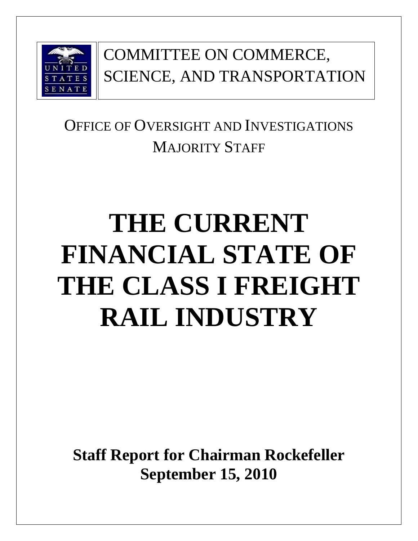

# COMMITTEE ON COMMERCE, SCIENCE, AND TRANSPORTATION

# OFFICE OF OVERSIGHT AND INVESTIGATIONS MAJORITY STAFF

# **THE CURRENT FINANCIAL STATE OF THE CLASS I FREIGHT RAIL INDUSTRY**

**Staff Report for Chairman Rockefeller September 15, 2010**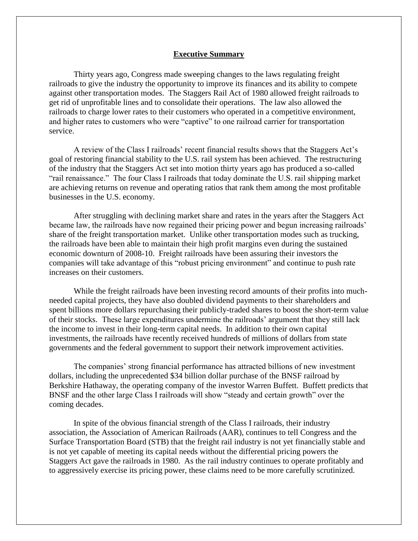#### **Executive Summary**

Thirty years ago, Congress made sweeping changes to the laws regulating freight railroads to give the industry the opportunity to improve its finances and its ability to compete against other transportation modes. The Staggers Rail Act of 1980 allowed freight railroads to get rid of unprofitable lines and to consolidate their operations. The law also allowed the railroads to charge lower rates to their customers who operated in a competitive environment, and higher rates to customers who were "captive" to one railroad carrier for transportation service.

A review of the Class I railroads' recent financial results shows that the Staggers Act's goal of restoring financial stability to the U.S. rail system has been achieved. The restructuring of the industry that the Staggers Act set into motion thirty years ago has produced a so-called ―rail renaissance.‖ The four Class I railroads that today dominate the U.S. rail shipping market are achieving returns on revenue and operating ratios that rank them among the most profitable businesses in the U.S. economy.

After struggling with declining market share and rates in the years after the Staggers Act became law, the railroads have now regained their pricing power and begun increasing railroads' share of the freight transportation market. Unlike other transportation modes such as trucking, the railroads have been able to maintain their high profit margins even during the sustained economic downturn of 2008-10. Freight railroads have been assuring their investors the companies will take advantage of this "robust pricing environment" and continue to push rate increases on their customers.

While the freight railroads have been investing record amounts of their profits into muchneeded capital projects, they have also doubled dividend payments to their shareholders and spent billions more dollars repurchasing their publicly-traded shares to boost the short-term value of their stocks. These large expenditures undermine the railroads' argument that they still lack the income to invest in their long-term capital needs. In addition to their own capital investments, the railroads have recently received hundreds of millions of dollars from state governments and the federal government to support their network improvement activities.

The companies' strong financial performance has attracted billions of new investment dollars, including the unprecedented \$34 billion dollar purchase of the BNSF railroad by Berkshire Hathaway, the operating company of the investor Warren Buffett. Buffett predicts that BNSF and the other large Class I railroads will show "steady and certain growth" over the coming decades.

In spite of the obvious financial strength of the Class I railroads, their industry association, the Association of American Railroads (AAR), continues to tell Congress and the Surface Transportation Board (STB) that the freight rail industry is not yet financially stable and is not yet capable of meeting its capital needs without the differential pricing powers the Staggers Act gave the railroads in 1980. As the rail industry continues to operate profitably and to aggressively exercise its pricing power, these claims need to be more carefully scrutinized.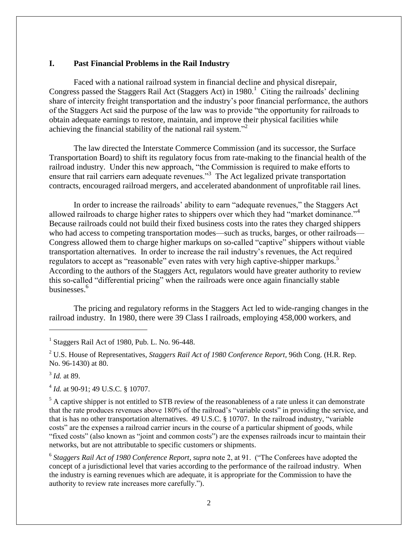#### **I. Past Financial Problems in the Rail Industry**

Faced with a national railroad system in financial decline and physical disrepair, Congress passed the Staggers Rail Act (Staggers Act) in 1980.<sup>1</sup> Citing the railroads' declining share of intercity freight transportation and the industry's poor financial performance, the authors of the Staggers Act said the purpose of the law was to provide "the opportunity for railroads to obtain adequate earnings to restore, maintain, and improve their physical facilities while achieving the financial stability of the national rail system."<sup>2</sup>

The law directed the Interstate Commerce Commission (and its successor, the Surface Transportation Board) to shift its regulatory focus from rate-making to the financial health of the railroad industry. Under this new approach, "the Commission is required to make efforts to ensure that rail carriers earn adequate revenues."<sup>3</sup> The Act legalized private transportation contracts, encouraged railroad mergers, and accelerated abandonment of unprofitable rail lines.

In order to increase the railroads' ability to earn "adequate revenues," the Staggers Act allowed railroads to charge higher rates to shippers over which they had "market dominance."<sup>4</sup> Because railroads could not build their fixed business costs into the rates they charged shippers who had access to competing transportation modes—such as trucks, barges, or other railroads— Congress allowed them to charge higher markups on so-called "captive" shippers without viable transportation alternatives. In order to increase the rail industry's revenues, the Act required regulators to accept as "reasonable" even rates with very high captive-shipper markups.<sup>5</sup> According to the authors of the Staggers Act, regulators would have greater authority to review this so-called "differential pricing" when the railroads were once again financially stable businesses.<sup>6</sup>

The pricing and regulatory reforms in the Staggers Act led to wide-ranging changes in the railroad industry. In 1980, there were 39 Class I railroads, employing 458,000 workers, and

3 *Id.* at 89.

l

<sup>4</sup> *Id.* at 90-91; 49 U.S.C. § 10707.

 $<sup>5</sup>$  A captive shipper is not entitled to STB review of the reasonableness of a rate unless it can demonstrate</sup> that the rate produces revenues above 180% of the railroad's "variable costs" in providing the service, and that is has no other transportation alternatives.  $49 \text{ U.S.C.}$  § 10707. In the railroad industry, "variable costs" are the expenses a railroad carrier incurs in the course of a particular shipment of goods, while "fixed costs" (also known as "joint and common costs") are the expenses railroads incur to maintain their networks, but are not attributable to specific customers or shipments.

<sup>6</sup> Staggers Rail Act of 1980 Conference Report, *supra* note 2, at 91. ("The Conferees have adopted the concept of a jurisdictional level that varies according to the performance of the railroad industry. When the industry is earning revenues which are adequate, it is appropriate for the Commission to have the authority to review rate increases more carefully.").

<sup>&</sup>lt;sup>1</sup> Staggers Rail Act of 1980, Pub. L. No. 96-448.

<sup>2</sup> U.S. House of Representatives, *Staggers Rail Act of 1980 Conference Report*, 96th Cong. (H.R. Rep. No. 96-1430) at 80.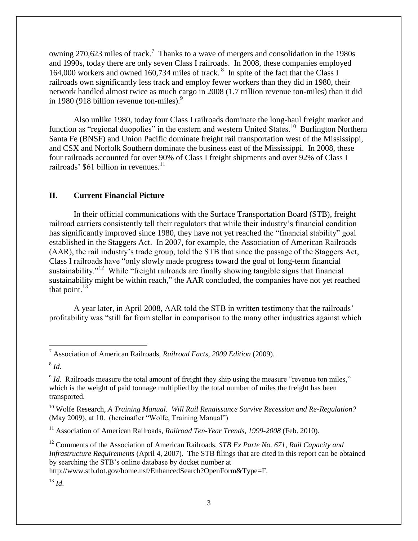owning 270,623 miles of track.<sup>7</sup> Thanks to a wave of mergers and consolidation in the 1980s and 1990s, today there are only seven Class I railroads. In 2008, these companies employed 164,000 workers and owned 160,734 miles of track.<sup>8</sup> In spite of the fact that the Class I railroads own significantly less track and employ fewer workers than they did in 1980, their network handled almost twice as much cargo in 2008 (1.7 trillion revenue ton-miles) than it did in 1980 (918 billion revenue ton-miles). $9^9$ 

Also unlike 1980, today four Class I railroads dominate the long-haul freight market and function as "regional duopolies" in the eastern and western United States.<sup>10</sup> Burlington Northern Santa Fe (BNSF) and Union Pacific dominate freight rail transportation west of the Mississippi, and CSX and Norfolk Southern dominate the business east of the Mississippi. In 2008, these four railroads accounted for over 90% of Class I freight shipments and over 92% of Class I railroads' \$61 billion in revenues.<sup>11</sup>

## **II. Current Financial Picture**

In their official communications with the Surface Transportation Board (STB), freight railroad carriers consistently tell their regulators that while their industry's financial condition has significantly improved since 1980, they have not yet reached the "financial stability" goal established in the Staggers Act. In 2007, for example, the Association of American Railroads (AAR), the rail industry's trade group, told the STB that since the passage of the Staggers Act, Class I railroads have "only slowly made progress toward the goal of long-term financial sustainability."<sup>12</sup> While "freight railroads are finally showing tangible signs that financial sustainability might be within reach," the AAR concluded, the companies have not yet reached that point. $^{13}$ 

A year later, in April 2008, AAR told the STB in written testimony that the railroads' profitability was "still far from stellar in comparison to the many other industries against which

 $\overline{\phantom{a}}$ 

<sup>12</sup> Comments of the Association of American Railroads, *STB Ex Parte No. 671, Rail Capacity and Infrastructure Requirements* (April 4, 2007). The STB filings that are cited in this report can be obtained by searching the STB's online database by docket number at

http://www.stb.dot.gov/home.nsf/EnhancedSearch?OpenForm&Type=F.

 $^{13}$  *Id.* 

<sup>7</sup> Association of American Railroads, *Railroad Facts, 2009 Edition* (2009).

<sup>8</sup> *Id.*

 $\delta$  *Id.* Railroads measure the total amount of freight they ship using the measure "revenue ton miles," which is the weight of paid tonnage multiplied by the total number of miles the freight has been transported.

<sup>&</sup>lt;sup>10</sup> Wolfe Research, A Training Manual. Will Rail Renaissance Survive Recession and Re-Regulation? (May 2009), at 10. (hereinafter "Wolfe, Training Manual")

<sup>&</sup>lt;sup>11</sup> Association of American Railroads, *Railroad Ten-Year Trends, 1999-2008* (Feb. 2010).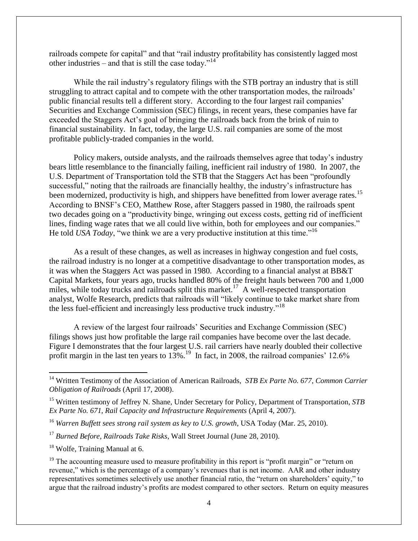railroads compete for capital" and that "rail industry profitability has consistently lagged most other industries – and that is still the case today."<sup>14</sup>

While the rail industry's regulatory filings with the STB portray an industry that is still struggling to attract capital and to compete with the other transportation modes, the railroads' public financial results tell a different story. According to the four largest rail companies' Securities and Exchange Commission (SEC) filings, in recent years, these companies have far exceeded the Staggers Act's goal of bringing the railroads back from the brink of ruin to financial sustainability. In fact, today, the large U.S. rail companies are some of the most profitable publicly-traded companies in the world.

Policy makers, outside analysts, and the railroads themselves agree that today's industry bears little resemblance to the financially failing, inefficient rail industry of 1980. In 2007, the U.S. Department of Transportation told the STB that the Staggers Act has been "profoundly" successful," noting that the railroads are financially healthy, the industry's infrastructure has been modernized, productivity is high, and shippers have benefitted from lower average rates.<sup>15</sup> According to BNSF's CEO, Matthew Rose, after Staggers passed in 1980, the railroads spent two decades going on a "productivity binge, wringing out excess costs, getting rid of inefficient lines, finding wage rates that we all could live within, both for employees and our companies." He told *USA Today*, "we think we are a very productive institution at this time."<sup>16</sup>

As a result of these changes, as well as increases in highway congestion and fuel costs, the railroad industry is no longer at a competitive disadvantage to other transportation modes, as it was when the Staggers Act was passed in 1980. According to a financial analyst at BB&T Capital Markets, four years ago, trucks handled 80% of the freight hauls between 700 and 1,000 miles, while today trucks and railroads split this market.<sup>17</sup> A well-respected transportation analyst, Wolfe Research, predicts that railroads will "likely continue to take market share from the less fuel-efficient and increasingly less productive truck industry."<sup>18</sup>

A review of the largest four railroads' Securities and Exchange Commission (SEC) filings shows just how profitable the large rail companies have become over the last decade. Figure I demonstrates that the four largest U.S. rail carriers have nearly doubled their collective profit margin in the last ten years to  $13\%$ .<sup>19</sup> In fact, in 2008, the railroad companies' 12.6%

l

<sup>&</sup>lt;sup>14</sup> Written Testimony of the Association of American Railroads, *STB Ex Parte No. 677, Common Carrier Obligation of Railroads* (April 17, 2008).

<sup>15</sup> Written testimony of Jeffrey N. Shane, Under Secretary for Policy, Department of Transportation, *STB Ex Parte No. 671, Rail Capacity and Infrastructure Requirements* (April 4, 2007).

<sup>16</sup> *Warren Buffett sees strong rail system as key to U.S. growth*, USA Today (Mar. 25, 2010).

<sup>17</sup> *Burned Before, Railroads Take Risks*, Wall Street Journal (June 28, 2010).

<sup>&</sup>lt;sup>18</sup> Wolfe, Training Manual at 6.

 $19$  The accounting measure used to measure profitability in this report is "profit margin" or "return on revenue," which is the percentage of a company's revenues that is net income. AAR and other industry representatives sometimes selectively use another financial ratio, the "return on shareholders' equity," to argue that the railroad industry's profits are modest compared to other sectors. Return on equity measures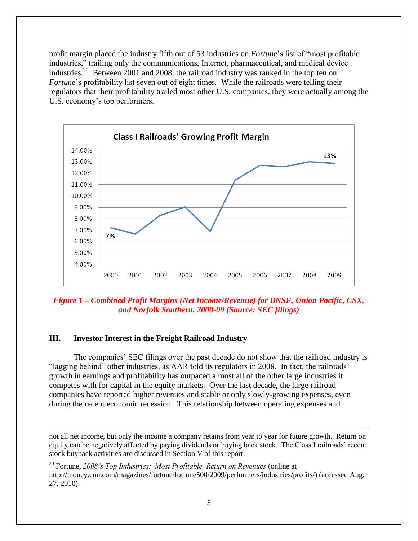profit margin placed the industry fifth out of 53 industries on *Fortune*'s list of "most profitable" industries," trailing only the communications, Internet, pharmaceutical, and medical device industries.<sup>20</sup> Between 2001 and 2008, the railroad industry was ranked in the top ten on *Fortune*'s profitability list seven out of eight times. While the railroads were telling their regulators that their profitability trailed most other U.S. companies, they were actually among the U.S. economy's top performers.



*Figure 1 – Combined Profit Margins (Net Income/Revenue) for BNSF, Union Pacific, CSX, and Norfolk Southern, 2000-09 (Source: SEC filings)*

## **III. Investor Interest in the Freight Railroad Industry**

 $\overline{a}$ 

The companies' SEC filings over the past decade do not show that the railroad industry is "lagging behind" other industries, as AAR told its regulators in 2008. In fact, the railroads' growth in earnings and profitability has outpaced almost all of the other large industries it competes with for capital in the equity markets. Over the last decade, the large railroad companies have reported higher revenues and stable or only slowly-growing expenses, even during the recent economic recession. This relationship between operating expenses and

not all net income, but only the income a company retains from year to year for future growth. Return on equity can be negatively affected by paying dividends or buying back stock. The Class I railroads' recent stock buyback activities are discussed in Section V of this report.

<sup>20</sup> Fortune, *2008"s Top Industries: Most Profitable, Return on Revenues* (online at http://money.cnn.com/magazines/fortune/fortune500/2009/performers/industries/profits/) (accessed Aug. 27, 2010).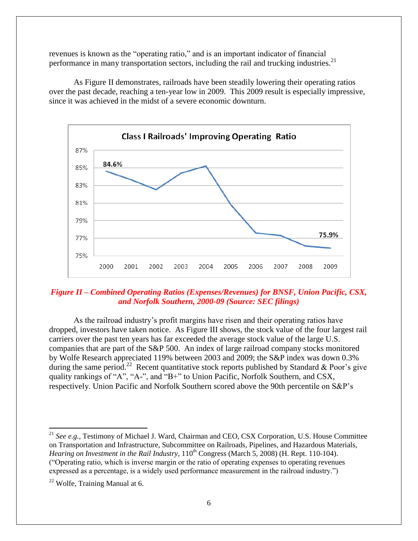revenues is known as the "operating ratio," and is an important indicator of financial performance in many transportation sectors, including the rail and trucking industries.<sup>21</sup>

As Figure II demonstrates, railroads have been steadily lowering their operating ratios over the past decade, reaching a ten-year low in 2009. This 2009 result is especially impressive, since it was achieved in the midst of a severe economic downturn.



# *Figure II – Combined Operating Ratios (Expenses/Revenues) for BNSF, Union Pacific, CSX, and Norfolk Southern, 2000-09 (Source: SEC filings)*

As the railroad industry's profit margins have risen and their operating ratios have dropped, investors have taken notice. As Figure III shows, the stock value of the four largest rail carriers over the past ten years has far exceeded the average stock value of the large U.S. companies that are part of the S&P 500. An index of large railroad company stocks monitored by Wolfe Research appreciated 119% between 2003 and 2009; the S&P index was down 0.3% during the same period.<sup>22</sup> Recent quantitative stock reports published by Standard & Poor's give quality rankings of "A", "A-", and "B+" to Union Pacific, Norfolk Southern, and CSX, respectively. Union Pacific and Norfolk Southern scored above the 90th percentile on S&P's

 $\overline{a}$ 

<sup>&</sup>lt;sup>21</sup> See e.g., Testimony of Michael J. Ward, Chairman and CEO, CSX Corporation, U.S. House Committee on Transportation and Infrastructure, Subcommittee on Railroads, Pipelines, and Hazardous Materials, *Hearing on Investment in the Rail Industry*,  $110^{th}$  Congress (March 5, 2008) (H. Rept. 110-104). (―Operating ratio, which is inverse margin or the ratio of operating expenses to operating revenues expressed as a percentage, is a widely used performance measurement in the railroad industry.")

 $22$  Wolfe, Training Manual at 6.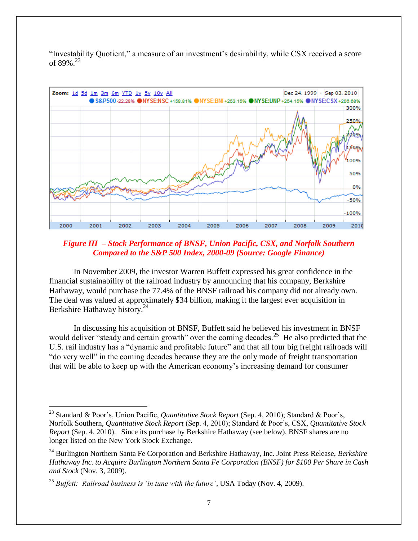"Investability Quotient," a measure of an investment's desirability, while CSX received a score of 89%. $^{23}$ 



*Figure III – Stock Performance of BNSF, Union Pacific, CSX, and Norfolk Southern Compared to the S&P 500 Index, 2000-09 (Source: Google Finance)*

In November 2009, the investor Warren Buffett expressed his great confidence in the financial sustainability of the railroad industry by announcing that his company, Berkshire Hathaway, would purchase the 77.4% of the BNSF railroad his company did not already own. The deal was valued at approximately \$34 billion, making it the largest ever acquisition in Berkshire Hathaway history.<sup>24</sup>

In discussing his acquisition of BNSF, Buffett said he believed his investment in BNSF would deliver "steady and certain growth" over the coming decades.<sup>25</sup> He also predicted that the U.S. rail industry has a "dynamic and profitable future" and that all four big freight railroads will " do very well" in the coming decades because they are the only mode of freight transportation that will be able to keep up with the American economy's increasing demand for consumer

 $\overline{\phantom{a}}$ 

<sup>23</sup> Standard & Poor's, Union Pacific, *Quantitative Stock Report* (Sep. 4, 2010); Standard & Poor's, Norfolk Southern, *Quantitative Stock Report* (Sep. 4, 2010); Standard & Poor's, CSX, *Quantitative Stock Report* (Sep. 4, 2010). Since its purchase by Berkshire Hathaway (see below), BNSF shares are no longer listed on the New York Stock Exchange.

<sup>24</sup> Burlington Northern Santa Fe Corporation and Berkshire Hathaway, Inc. Joint Press Release, *Berkshire Hathaway Inc. to Acquire Burlington Northern Santa Fe Corporation (BNSF) for \$100 Per Share in Cash and Stock* (Nov. 3, 2009).

<sup>&</sup>lt;sup>25</sup> *Buffett: Railroad business is 'in tune with the future'*, USA Today (Nov. 4, 2009).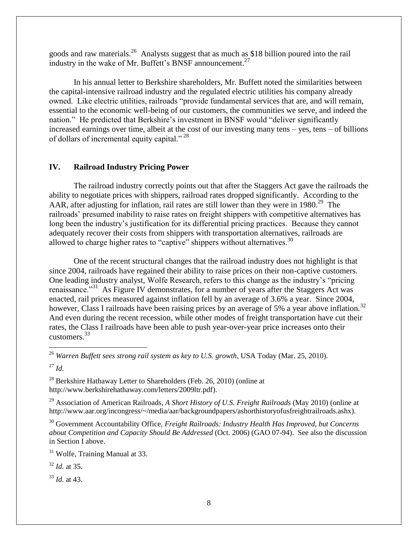goods and raw materials.<sup>26</sup> Analysts suggest that as much as \$18 billion poured into the rail industry in the wake of Mr. Buffett's BNSF announcement.<sup>27</sup>

In his annual letter to Berkshire shareholders, Mr. Buffett noted the similarities between the capital-intensive railroad industry and the regulated electric utilities his company already owned. Like electric utilities, railroads "provide fundamental services that are, and will remain, essential to the economic well-being of our customers, the communities we serve, and indeed the nation." He predicted that Berkshire's investment in BNSF would "deliver significantly increased earnings over time, albeit at the cost of our investing many tens – yes, tens – of billions of dollars of incremental equity capital."<sup>28</sup>

#### **IV. Railroad Industry Pricing Power**

The railroad industry correctly points out that after the Staggers Act gave the railroads the ability to negotiate prices with shippers, railroad rates dropped significantly. According to the AAR, after adjusting for inflation, rail rates are still lower than they were in 1980.<sup>29</sup> The railroads' presumed inability to raise rates on freight shippers with competitive alternatives has long been the industry's justification for its differential pricing practices. Because they cannot adequately recover their costs from shippers with transportation alternatives, railroads are allowed to charge higher rates to "captive" shippers without alternatives. $30$ 

One of the recent structural changes that the railroad industry does not highlight is that since 2004, railroads have regained their ability to raise prices on their non-captive customers. One leading industry analyst, Wolfe Research, refers to this change as the industry's "pricing renaissance."<sup>31</sup> As Figure IV demonstrates, for a number of years after the Staggers Act was enacted, rail prices measured against inflation fell by an average of 3.6% a year. Since 2004, however, Class I railroads have been raising prices by an average of 5% a year above inflation.<sup>32</sup> And even during the recent recession, while other modes of freight transportation have cut their rates, the Class I railroads have been able to push year-over-year price increases onto their customers.<sup>33</sup> 

<sup>26</sup> *Warren Buffett sees strong rail system as key to U.S. growth*, USA Today (Mar. 25, 2010).

<sup>27</sup> *Id.*

 $\overline{\phantom{a}}$ 

 $^{28}$  Berkshire Hathaway Letter to Shareholders (Feb. 26, 2010) (online at http://www.berkshirehathaway.com/letters/2009ltr.pdf).

<sup>29</sup> Association of American Railroads, *A Short History of U.S. Freight Railroads* (May 2010) (online at http://www.aar.org/incongress/~/media/aar/backgroundpapers/ashorthistoryofusfreightrailroads.ashx).

<sup>30</sup> Government Accountability Office, *Freight Railroads: Industry Health Has Improved, but Concerns about Competition and Capacity Should Be Addressed* (Oct. 2006) (GAO 07-94). See also the discussion in Section I above.

<sup>31</sup> Wolfe, Training Manual at 33.

<sup>32</sup> *Id.* at 35.

<sup>33</sup> *Id.* at 43.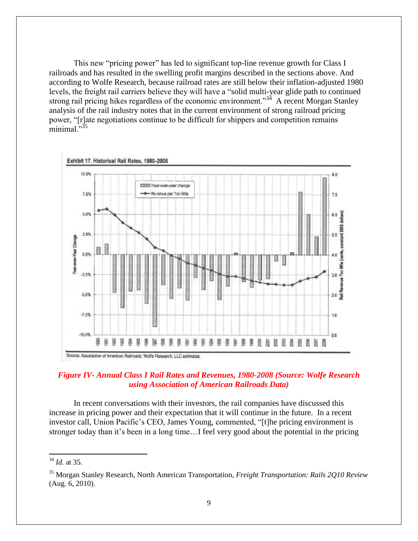This new "pricing power" has led to significant top-line revenue growth for Class I railroads and has resulted in the swelling profit margins described in the sections above. And according to Wolfe Research, because railroad rates are still below their inflation-adjusted 1980 levels, the freight rail carriers believe they will have a "solid multi-year glide path to continued strong rail pricing hikes regardless of the economic environment.<sup>334</sup> A recent Morgan Stanley analysis of the rail industry notes that in the current environment of strong railroad pricing power, "[r]ate negotiations continue to be difficult for shippers and competition remains minimal."<sup>35</sup>



#### *Figure IV- Annual Class I Rail Rates and Revenues, 1980-2008 (Source: Wolfe Research using Association of American Railroads Data)*

In recent conversations with their investors, the rail companies have discussed this increase in pricing power and their expectation that it will continue in the future. In a recent investor call, Union Pacific's CEO, James Young, commented, "[t]he pricing environment is stronger today than it's been in a long time…I feel very good about the potential in the pricing

 $\overline{a}$ 

<sup>34</sup> *Id.* at 35.

<sup>35</sup> Morgan Stanley Research, North American Transportation, *Freight Transportation: Rails 2Q10 Review*  (Aug. 6, 2010).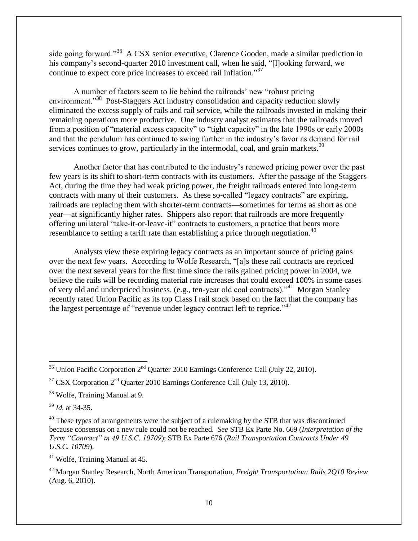side going forward."<sup>36</sup> A CSX senior executive, Clarence Gooden, made a similar prediction in his company's second-quarter 2010 investment call, when he said, "[l]ooking forward, we continue to expect core price increases to exceed rail inflation."37

A number of factors seem to lie behind the railroads' new "robust pricing environment."<sup>38</sup> Post-Staggers Act industry consolidation and capacity reduction slowly eliminated the excess supply of rails and rail service, while the railroads invested in making their remaining operations more productive. One industry analyst estimates that the railroads moved from a position of "material excess capacity" to "tight capacity" in the late 1990s or early 2000s and that the pendulum has continued to swing further in the industry's favor as demand for rail services continues to grow, particularly in the intermodal, coal, and grain markets.<sup>39</sup>

Another factor that has contributed to the industry's renewed pricing power over the past few years is its shift to short-term contracts with its customers. After the passage of the Staggers Act, during the time they had weak pricing power, the freight railroads entered into long-term contracts with many of their customers. As these so-called "legacy contracts" are expiring, railroads are replacing them with shorter-term contracts—sometimes for terms as short as one year—at significantly higher rates. Shippers also report that railroads are more frequently offering unilateral "take-it-or-leave-it" contracts to customers, a practice that bears more resemblance to setting a tariff rate than establishing a price through negotiation.<sup>40</sup>

Analysts view these expiring legacy contracts as an important source of pricing gains over the next few years. According to Wolfe Research, "[a]s these rail contracts are repriced over the next several years for the first time since the rails gained pricing power in 2004, we believe the rails will be recording material rate increases that could exceed 100% in some cases of very old and underpriced business. (e.g., ten-year old coal contracts)."<sup>41</sup> Morgan Stanley recently rated Union Pacific as its top Class I rail stock based on the fact that the company has the largest percentage of "revenue under legacy contract left to reprice."<sup>42</sup>

<sup>39</sup> *Id.* at 34-35.

 $\overline{\phantom{a}}$ 

<sup>41</sup> Wolfe, Training Manual at 45.

 $36$  Union Pacific Corporation  $2<sup>nd</sup>$  Quarter 2010 Earnings Conference Call (July 22, 2010).

 $37$  CSX Corporation  $2<sup>nd</sup>$  Ouarter 2010 Earnings Conference Call (July 13, 2010).

<sup>&</sup>lt;sup>38</sup> Wolfe, Training Manual at 9.

 $40$  These types of arrangements were the subject of a rulemaking by the STB that was discontinued because consensus on a new rule could not be reached. *See* STB Ex Parte No. 669 (*Interpretation of the Term "Contract" in 49 U.S.C. 10709*); STB Ex Parte 676 (*Rail Transportation Contracts Under 49 U.S.C. 10709*).

<sup>42</sup> Morgan Stanley Research, North American Transportation, *Freight Transportation: Rails 2Q10 Review* (Aug. 6, 2010).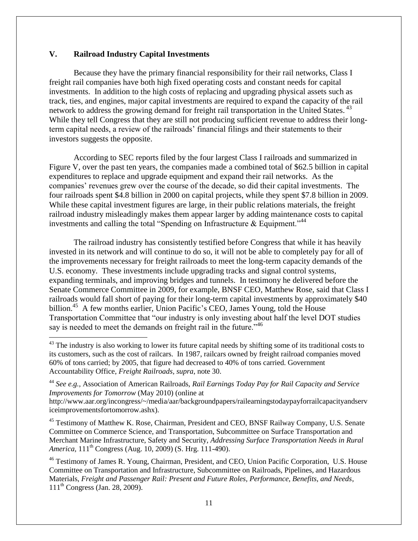#### **V. Railroad Industry Capital Investments**

 $\overline{a}$ 

Because they have the primary financial responsibility for their rail networks, Class I freight rail companies have both high fixed operating costs and constant needs for capital investments. In addition to the high costs of replacing and upgrading physical assets such as track, ties, and engines, major capital investments are required to expand the capacity of the rail network to address the growing demand for freight rail transportation in the United States.<sup>43</sup> While they tell Congress that they are still not producing sufficient revenue to address their longterm capital needs, a review of the railroads' financial filings and their statements to their investors suggests the opposite.

According to SEC reports filed by the four largest Class I railroads and summarized in Figure V, over the past ten years, the companies made a combined total of \$62.5 billion in capital expenditures to replace and upgrade equipment and expand their rail networks. As the companies' revenues grew over the course of the decade, so did their capital investments. The four railroads spent \$4.8 billion in 2000 on capital projects, while they spent \$7.8 billion in 2009. While these capital investment figures are large, in their public relations materials, the freight railroad industry misleadingly makes them appear larger by adding maintenance costs to capital investments and calling the total "Spending on Infrastructure  $\&$  Equipment."<sup>44</sup>

The railroad industry has consistently testified before Congress that while it has heavily invested in its network and will continue to do so, it will not be able to completely pay for all of the improvements necessary for freight railroads to meet the long-term capacity demands of the U.S. economy. These investments include upgrading tracks and signal control systems, expanding terminals, and improving bridges and tunnels. In testimony he delivered before the Senate Commerce Committee in 2009, for example, BNSF CEO, Matthew Rose, said that Class I railroads would fall short of paying for their long-term capital investments by approximately \$40 billion.<sup>45</sup> A few months earlier, Union Pacific's CEO, James Young, told the House Transportation Committee that "our industry is only investing about half the level DOT studies say is needed to meet the demands on freight rail in the future.<sup> $,46$ </sup>

<sup>45</sup> Testimony of Matthew K. Rose, Chairman, President and CEO, BNSF Railway Company, U.S. Senate Committee on Commerce Science, and Transportation, Subcommittee on Surface Transportation and Merchant Marine Infrastructure, Safety and Security, *Addressing Surface Transportation Needs in Rural America*, 111<sup>th</sup> Congress (Aug. 10, 2009) (S. Hrg. 111-490).

<sup>46</sup> Testimony of James R. Young, Chairman, President, and CEO, Union Pacific Corporation, U.S. House Committee on Transportation and Infrastructure, Subcommittee on Railroads, Pipelines, and Hazardous Materials, *Freight and Passenger Rail: Present and Future Roles, Performance, Benefits, and Needs*,  $111^{th}$  Congress (Jan. 28, 2009).

 $^{43}$  The industry is also working to lower its future capital needs by shifting some of its traditional costs to its customers, such as the cost of railcars. In 1987, railcars owned by freight railroad companies moved 60% of tons carried; by 2005, that figure had decreased to 40% of tons carried. Government Accountability Office, *Freight Railroads, supra*, note 30.

<sup>44</sup> *See e.g.,* Association of American Railroads, *Rail Earnings Today Pay for Rail Capacity and Service Improvements for Tomorrow* (May 2010) (online at

http://www.aar.org/incongress/~/media/aar/backgroundpapers/railearningstodaypayforrailcapacityandserv iceimprovementsfortomorrow.ashx).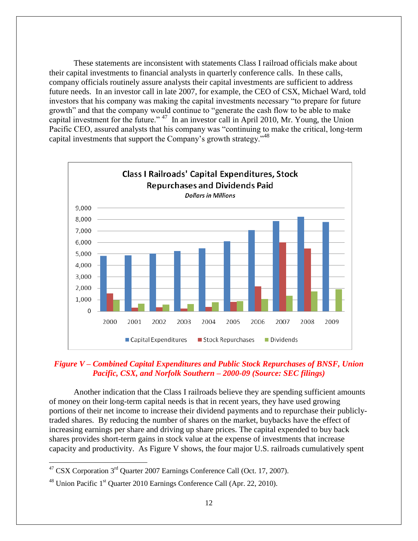These statements are inconsistent with statements Class I railroad officials make about their capital investments to financial analysts in quarterly conference calls. In these calls, company officials routinely assure analysts their capital investments are sufficient to address future needs. In an investor call in late 2007, for example, the CEO of CSX, Michael Ward, told investors that his company was making the capital investments necessary "to prepare for future growth" and that the company would continue to "generate the cash flow to be able to make capital investment for the future."  $47$  In an investor call in April 2010, Mr. Young, the Union Pacific CEO, assured analysts that his company was "continuing to make the critical, long-term capital investments that support the Company's growth strategy." $48$ 



## *Figure V – Combined Capital Expenditures and Public Stock Repurchases of BNSF, Union Pacific, CSX, and Norfolk Southern – 2000-09 (Source: SEC filings)*

Another indication that the Class I railroads believe they are spending sufficient amounts of money on their long-term capital needs is that in recent years, they have used growing portions of their net income to increase their dividend payments and to repurchase their publiclytraded shares. By reducing the number of shares on the market, buybacks have the effect of increasing earnings per share and driving up share prices. The capital expended to buy back shares provides short-term gains in stock value at the expense of investments that increase capacity and productivity. As Figure V shows, the four major U.S. railroads cumulatively spent

 $\overline{\phantom{a}}$ 

<sup>&</sup>lt;sup>47</sup> CSX Corporation 3<sup>rd</sup> Quarter 2007 Earnings Conference Call (Oct. 17, 2007).

 $48$  Union Pacific 1<sup>st</sup> Quarter 2010 Earnings Conference Call (Apr. 22, 2010).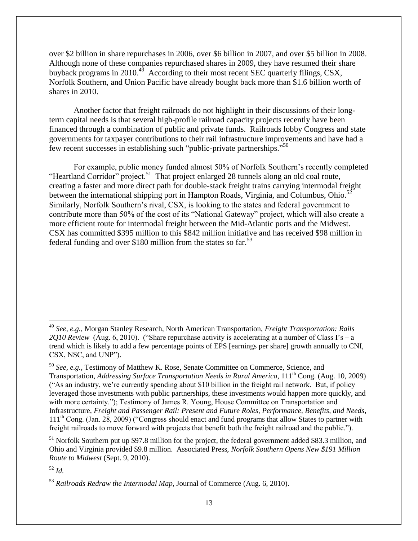over \$2 billion in share repurchases in 2006, over \$6 billion in 2007, and over \$5 billion in 2008. Although none of these companies repurchased shares in 2009, they have resumed their share buyback programs in 2010.<sup>49</sup> According to their most recent SEC quarterly filings, CSX, Norfolk Southern, and Union Pacific have already bought back more than \$1.6 billion worth of shares in 2010.

Another factor that freight railroads do not highlight in their discussions of their longterm capital needs is that several high-profile railroad capacity projects recently have been financed through a combination of public and private funds. Railroads lobby Congress and state governments for taxpayer contributions to their rail infrastructure improvements and have had a few recent successes in establishing such "public-private partnerships."<sup>50</sup>

For example, public money funded almost 50% of Norfolk Southern's recently completed "Heartland Corridor" project.<sup>51</sup> That project enlarged 28 tunnels along an old coal route, creating a faster and more direct path for double-stack freight trains carrying intermodal freight between the international shipping port in Hampton Roads, Virginia, and Columbus, Ohio.<sup>52</sup> Similarly, Norfolk Southern's rival, CSX, is looking to the states and federal government to contribute more than 50% of the cost of its "National Gateway" project, which will also create a more efficient route for intermodal freight between the Mid-Atlantic ports and the Midwest. CSX has committed \$395 million to this \$842 million initiative and has received \$98 million in federal funding and over \$180 million from the states so far.<sup>53</sup>

<sup>51</sup> Norfolk Southern put up \$97.8 million for the project, the federal government added \$83.3 million, and Ohio and Virginia provided \$9.8 million. Associated Press, *Norfolk Southern Opens New \$191 Million Route to Midwest* (Sept. 9, 2010).

<sup>52</sup> *Id.*

 $\overline{\phantom{a}}$ 

<sup>49</sup> *See, e.g.,* Morgan Stanley Research, North American Transportation, *Freight Transportation: Rails*   $2O10$  Review (Aug. 6, 2010). ("Share repurchase activity is accelerating at a number of Class I's – a trend which is likely to add a few percentage points of EPS [earnings per share] growth annually to CNI, CSX, NSC, and UNP").

<sup>50</sup> *See, e.g.,* Testimony of Matthew K. Rose, Senate Committee on Commerce, Science, and Transportation, *Addressing Surface Transportation Needs in Rural America*, 111<sup>th</sup> Cong. (Aug. 10, 2009) (―As an industry, we're currently spending about \$10 billion in the freight rail network. But, if policy leveraged those investments with public partnerships, these investments would happen more quickly, and with more certainty."); Testimony of James R. Young, House Committee on Transportation and Infrastructure, *Freight and Passenger Rail: Present and Future Roles, Performance, Benefits, and Needs*,  $111<sup>th</sup>$  Cong. (Jan. 28, 2009) ("Congress should enact and fund programs that allow States to partner with freight railroads to move forward with projects that benefit both the freight railroad and the public.").

<sup>53</sup> *Railroads Redraw the Intermodal Map*, Journal of Commerce (Aug. 6, 2010).